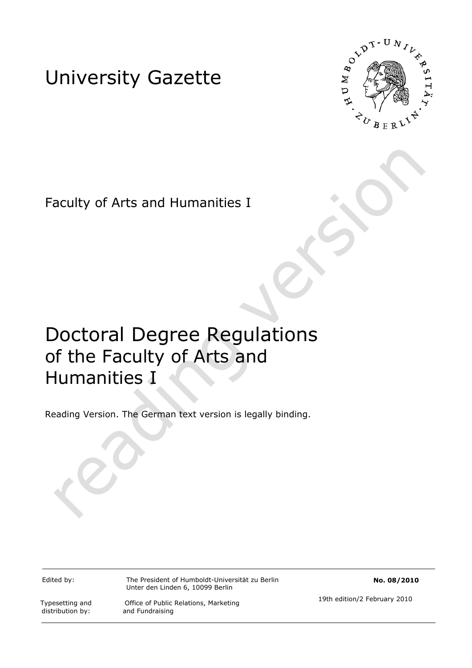# University Gazette



Faculty of Arts and Humanities I

## Doctoral Degree Regulations of the Faculty of Arts and Humanities I

Reading Version. The German text version is legally binding.

Edited by: The President of Humboldt-Universität zu Berlin Unter den Linden 6, 10099 Berlin

**No. 08/2010**

distribution by: and Fundraising

Typesetting and Office of Public Relations, Marketing

19th edition/2 February 2010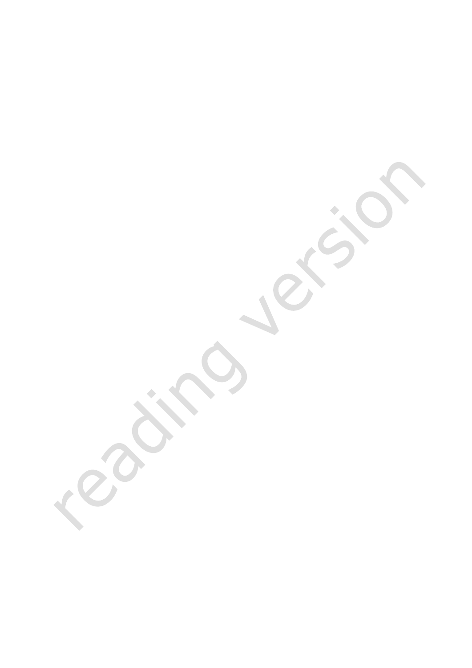reading version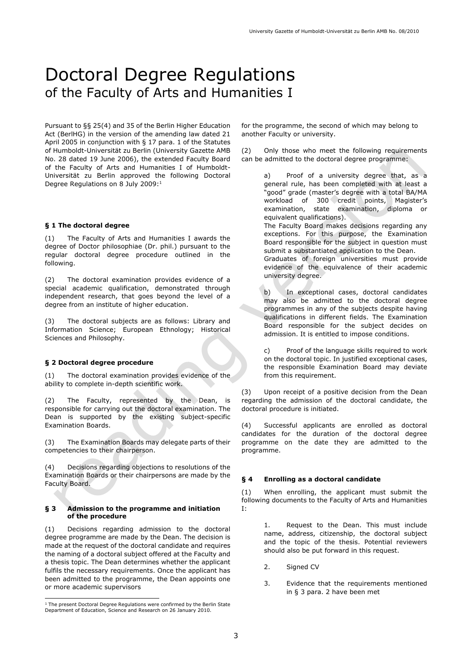## Doctoral Degree Regulations of the Faculty of Arts and Humanities I

Pursuant to §§ 25(4) and 35 of the Berlin Higher Education Act (BerlHG) in the version of the amending law dated 21 April 2005 in conjunction with § 17 para. 1 of the Statutes of Humboldt-Universität zu Berlin (University Gazette AMB No. 28 dated 19 June 2006), the extended Faculty Board of the Faculty of Arts and Humanities I of Humboldt-Universität zu Berlin approved the following Doctoral Degree Regulations on 8 July 2009:<sup>1</sup>

#### **§ 1 The doctoral degree**

(1) The Faculty of Arts and Humanities I awards the degree of Doctor philosophiae (Dr. phil.) pursuant to the regular doctoral degree procedure outlined in the following.

(2) The doctoral examination provides evidence of a special academic qualification, demonstrated through independent research, that goes beyond the level of a degree from an institute of higher education.

(3) The doctoral subjects are as follows: Library and Information Science; European Ethnology; Historical Sciences and Philosophy.

#### **§ 2 Doctoral degree procedure**

(1) The doctoral examination provides evidence of the ability to complete in-depth scientific work.

(2) The Faculty, represented by the Dean, is responsible for carrying out the doctoral examination. The Dean is supported by the existing subject-specific Examination Boards.

(3) The Examination Boards may delegate parts of their competencies to their chairperson.

(4) Decisions regarding objections to resolutions of the Examination Boards or their chairpersons are made by the Faculty Board.

#### **§ 3 Admission to the programme and initiation of the procedure**

(1) Decisions regarding admission to the doctoral degree programme are made by the Dean. The decision is made at the request of the doctoral candidate and requires the naming of a doctoral subject offered at the Faculty and a thesis topic. The Dean determines whether the applicant fulfils the necessary requirements. Once the applicant has been admitted to the programme, the Dean appoints one or more academic supervisors

for the programme, the second of which may belong to another Faculty or university.

(2) Only those who meet the following requirements can be admitted to the doctoral degree programme:

> a) Proof of a university degree that, as a general rule, has been completed with at least a "good" grade (master's degree with a total BA/MA workload of 300 credit points, Magister's examination, state examination, diploma or equivalent qualifications).

> The Faculty Board makes decisions regarding any exceptions. For this purpose, the Examination Board responsible for the subject in question must submit a substantiated application to the Dean.

> Graduates of foreign universities must provide evidence of the equivalence of their academic university degree.

> b) In exceptional cases, doctoral candidates may also be admitted to the doctoral degree programmes in any of the subjects despite having qualifications in different fields. The Examination Board responsible for the subject decides on admission. It is entitled to impose conditions.

> c) Proof of the language skills required to work on the doctoral topic. In justified exceptional cases, the responsible Examination Board may deviate from this requirement.

(3) Upon receipt of a positive decision from the Dean regarding the admission of the doctoral candidate, the doctoral procedure is initiated.

(4) Successful applicants are enrolled as doctoral candidates for the duration of the doctoral degree programme on the date they are admitted to the programme.

#### **§ 4 Enrolling as a doctoral candidate**

(1) When enrolling, the applicant must submit the following documents to the Faculty of Arts and Humanities I:

> 1. Request to the Dean. This must include name, address, citizenship, the doctoral subject and the topic of the thesis. Potential reviewers should also be put forward in this request.

- 2. Signed CV
- 3. Evidence that the requirements mentioned in § 3 para. 2 have been met

<sup>1</sup> The present Doctoral Degree Regulations were confirmed by the Berlin State Department of Education, Science and Research on 26 January 2010.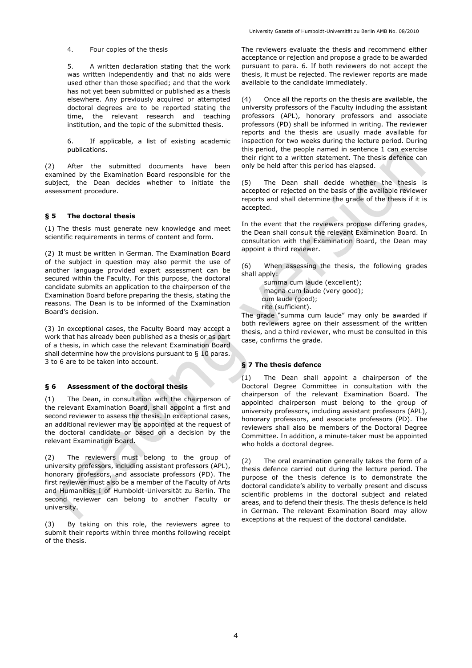4. Four copies of the thesis

5. A written declaration stating that the work was written independently and that no aids were used other than those specified; and that the work has not yet been submitted or published as a thesis elsewhere. Any previously acquired or attempted doctoral degrees are to be reported stating the time, the relevant research and teaching institution, and the topic of the submitted thesis.

6. If applicable, a list of existing academic publications.

(2) After the submitted documents have been examined by the Examination Board responsible for the subject, the Dean decides whether to initiate the assessment procedure.

#### **§ 5 The doctoral thesis**

(1) The thesis must generate new knowledge and meet scientific requirements in terms of content and form.

(2) It must be written in German. The Examination Board of the subject in question may also permit the use of another language provided expert assessment can be secured within the Faculty. For this purpose, the doctoral candidate submits an application to the chairperson of the Examination Board before preparing the thesis, stating the reasons. The Dean is to be informed of the Examination Board's decision.

(3) In exceptional cases, the Faculty Board may accept a work that has already been published as a thesis or as part of a thesis, in which case the relevant Examination Board shall determine how the provisions pursuant to § 10 paras. 3 to 6 are to be taken into account.

#### **§ 6 Assessment of the doctoral thesis**

(1) The Dean, in consultation with the chairperson of the relevant Examination Board, shall appoint a first and second reviewer to assess the thesis. In exceptional cases, an additional reviewer may be appointed at the request of the doctoral candidate or based on a decision by the relevant Examination Board.

(2) The reviewers must belong to the group of university professors, including assistant professors (APL), honorary professors, and associate professors (PD). The first reviewer must also be a member of the Faculty of Arts and Humanities I of Humboldt-Universität zu Berlin. The second reviewer can belong to another Faculty or university.

(3) By taking on this role, the reviewers agree to submit their reports within three months following receipt of the thesis.

The reviewers evaluate the thesis and recommend either acceptance or rejection and propose a grade to be awarded pursuant to para. 6. If both reviewers do not accept the thesis, it must be rejected. The reviewer reports are made available to the candidate immediately.

(4) Once all the reports on the thesis are available, the university professors of the Faculty including the assistant professors (APL), honorary professors and associate professors (PD) shall be informed in writing. The reviewer reports and the thesis are usually made available for inspection for two weeks during the lecture period. During this period, the people named in sentence 1 can exercise their right to a written statement. The thesis defence can only be held after this period has elapsed.

(5) The Dean shall decide whether the thesis is accepted or rejected on the basis of the available reviewer reports and shall determine the grade of the thesis if it is accepted.

In the event that the reviewers propose differing grades, the Dean shall consult the relevant Examination Board. In consultation with the Examination Board, the Dean may appoint a third reviewer.

(6) When assessing the thesis, the following grades shall apply:

summa cum laude (excellent); magna cum laude (very good); cum laude (good); rite (sufficient).

The grade "summa cum laude" may only be awarded if both reviewers agree on their assessment of the written thesis, and a third reviewer, who must be consulted in this case, confirms the grade.

#### **§ 7 The thesis defence**

(1) The Dean shall appoint a chairperson of the Doctoral Degree Committee in consultation with the chairperson of the relevant Examination Board. The appointed chairperson must belong to the group of university professors, including assistant professors (APL), honorary professors, and associate professors (PD). The reviewers shall also be members of the Doctoral Degree Committee. In addition, a minute-taker must be appointed who holds a doctoral degree.

(2) The oral examination generally takes the form of a thesis defence carried out during the lecture period. The purpose of the thesis defence is to demonstrate the doctoral candidate's ability to verbally present and discuss scientific problems in the doctoral subject and related areas, and to defend their thesis. The thesis defence is held in German. The relevant Examination Board may allow exceptions at the request of the doctoral candidate.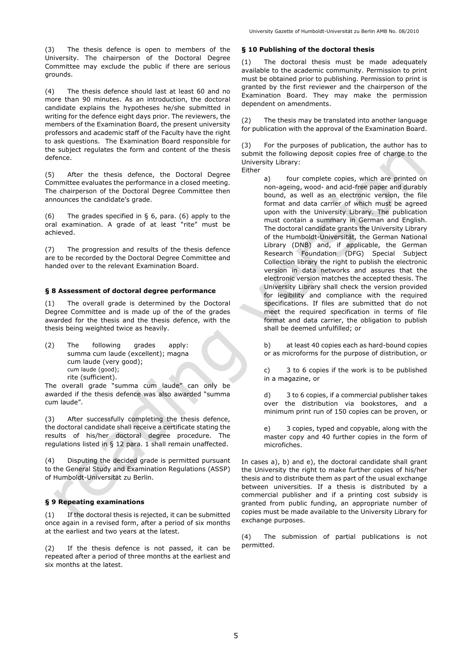(3) The thesis defence is open to members of the University. The chairperson of the Doctoral Degree Committee may exclude the public if there are serious grounds.

(4) The thesis defence should last at least 60 and no more than 90 minutes. As an introduction, the doctoral candidate explains the hypotheses he/she submitted in writing for the defence eight days prior. The reviewers, the members of the Examination Board, the present university professors and academic staff of the Faculty have the right to ask questions. The Examination Board responsible for the subject regulates the form and content of the thesis defence.

(5) After the thesis defence, the Doctoral Degree Committee evaluates the performance in a closed meeting. The chairperson of the Doctoral Degree Committee then announces the candidate's grade.

(6) The grades specified in § 6, para. (6) apply to the oral examination. A grade of at least "rite" must be achieved.

(7) The progression and results of the thesis defence are to be recorded by the Doctoral Degree Committee and handed over to the relevant Examination Board.

#### **§ 8 Assessment of doctoral degree performance**

(1) The overall grade is determined by the Doctoral Degree Committee and is made up of the of the grades awarded for the thesis and the thesis defence, with the thesis being weighted twice as heavily.

(2) The following grades apply: summa cum laude (excellent); magna cum laude (very good); cum laude (good); rite (sufficient).

The overall grade "summa cum laude" can only be awarded if the thesis defence was also awarded "summa cum laude".

(3) After successfully completing the thesis defence, the doctoral candidate shall receive a certificate stating the results of his/her doctoral degree procedure. The regulations listed in § 12 para. 1 shall remain unaffected.

(4) Disputing the decided grade is permitted pursuant to the General Study and Examination Regulations (ASSP) of Humboldt-Universität zu Berlin.

#### **§ 9 Repeating examinations**

(1) If the doctoral thesis is rejected, it can be submitted once again in a revised form, after a period of six months at the earliest and two years at the latest.

(2) If the thesis defence is not passed, it can be repeated after a period of three months at the earliest and six months at the latest.

#### **§ 10 Publishing of the doctoral thesis**

(1) The doctoral thesis must be made adequately available to the academic community. Permission to print must be obtained prior to publishing. Permission to print is granted by the first reviewer and the chairperson of the Examination Board. They may make the permission dependent on amendments.

(2) The thesis may be translated into another language for publication with the approval of the Examination Board.

(3) For the purposes of publication, the author has to submit the following deposit copies free of charge to the University Library:

Either

a) four complete copies, which are printed on non-ageing, wood- and acid-free paper and durably bound, as well as an electronic version, the file format and data carrier of which must be agreed upon with the University Library. The publication must contain a summary in German and English. The doctoral candidate grants the University Library of the Humboldt-Universität, the German National Library (DNB) and, if applicable, the German Research Foundation (DFG) Special Subject Collection library the right to publish the electronic version in data networks and assures that the electronic version matches the accepted thesis. The University Library shall check the version provided for legibility and compliance with the required specifications. If files are submitted that do not meet the required specification in terms of file format and data carrier, the obligation to publish shall be deemed unfulfilled; or

b) at least 40 copies each as hard-bound copies or as microforms for the purpose of distribution, or

c) 3 to 6 copies if the work is to be published in a magazine, or

d) 3 to 6 copies, if a commercial publisher takes over the distribution via bookstores, and a minimum print run of 150 copies can be proven, or

e) 3 copies, typed and copyable, along with the master copy and 40 further copies in the form of microfiches.

In cases a), b) and e), the doctoral candidate shall grant the University the right to make further copies of his/her thesis and to distribute them as part of the usual exchange between universities. If a thesis is distributed by a commercial publisher and if a printing cost subsidy is granted from public funding, an appropriate number of copies must be made available to the University Library for exchange purposes.

(4) The submission of partial publications is not permitted.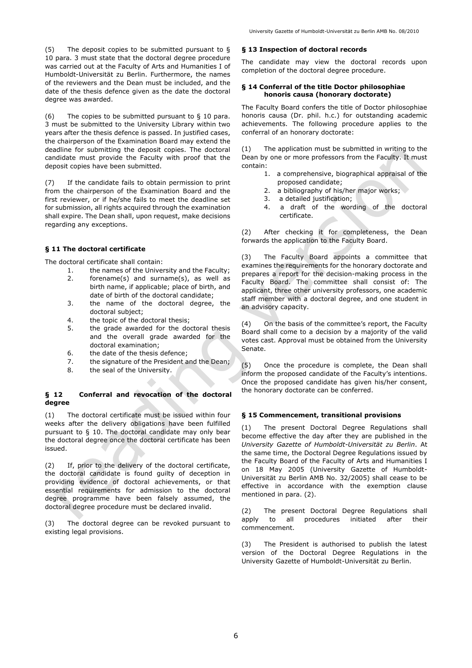(5) The deposit copies to be submitted pursuant to § 10 para. 3 must state that the doctoral degree procedure was carried out at the Faculty of Arts and Humanities I of Humboldt-Universität zu Berlin. Furthermore, the names of the reviewers and the Dean must be included, and the date of the thesis defence given as the date the doctoral degree was awarded.

(6) The copies to be submitted pursuant to § 10 para. 3 must be submitted to the University Library within two years after the thesis defence is passed. In justified cases, the chairperson of the Examination Board may extend the deadline for submitting the deposit copies. The doctoral candidate must provide the Faculty with proof that the deposit copies have been submitted.

(7) If the candidate fails to obtain permission to print from the chairperson of the Examination Board and the first reviewer, or if he/she fails to meet the deadline set for submission, all rights acquired through the examination shall expire. The Dean shall, upon request, make decisions regarding any exceptions.

#### **§ 11 The doctoral certificate**

The doctoral certificate shall contain:

- 1. the names of the University and the Faculty; 2. forename(s) and surname(s), as well as birth name, if applicable; place of birth, and date of birth of the doctoral candidate;
- 3. the name of the doctoral degree, the doctoral subject;
- 4. the topic of the doctoral thesis;
- 5. the grade awarded for the doctoral thesis and the overall grade awarded for the doctoral examination;
- 6. the date of the thesis defence;
- 7. the signature of the President and the Dean;
- 8. the seal of the University.

#### **§ 12 Conferral and revocation of the doctoral degree**

(1) The doctoral certificate must be issued within four weeks after the delivery obligations have been fulfilled pursuant to § 10. The doctoral candidate may only bear the doctoral degree once the doctoral certificate has been issued.

(2) If, prior to the delivery of the doctoral certificate, the doctoral candidate is found guilty of deception in providing evidence of doctoral achievements, or that essential requirements for admission to the doctoral degree programme have been falsely assumed, the doctoral degree procedure must be declared invalid.

(3) The doctoral degree can be revoked pursuant to existing legal provisions.

#### **§ 13 Inspection of doctoral records**

The candidate may view the doctoral records upon completion of the doctoral degree procedure.

#### **§ 14 Conferral of the title Doctor philosophiae honoris causa (honorary doctorate)**

The Faculty Board confers the title of Doctor philosophiae honoris causa (Dr. phil. h.c.) for outstanding academic achievements. The following procedure applies to the conferral of an honorary doctorate:

(1) The application must be submitted in writing to the Dean by one or more professors from the Faculty. It must contain:

- 1. a comprehensive, biographical appraisal of the proposed candidate;
- 2. a bibliography of his/her major works;
- 3. a detailed justification;
- 4. a draft of the wording of the doctoral certificate.

(2) After checking it for completeness, the Dean forwards the application to the Faculty Board.

(3) The Faculty Board appoints a committee that examines the requirements for the honorary doctorate and prepares a report for the decision-making process in the Faculty Board. The committee shall consist of: The applicant, three other university professors, one academic staff member with a doctoral degree, and one student in an advisory capacity.

(4) On the basis of the committee's report, the Faculty Board shall come to a decision by a majority of the valid votes cast. Approval must be obtained from the University Senate.

(5) Once the procedure is complete, the Dean shall inform the proposed candidate of the Faculty's intentions. Once the proposed candidate has given his/her consent, the honorary doctorate can be conferred.

#### **§ 15 Commencement, transitional provisions**

(1) The present Doctoral Degree Regulations shall become effective the day after they are published in the *University Gazette of Humboldt-Universität zu Berlin*. At the same time, the Doctoral Degree Regulations issued by the Faculty Board of the Faculty of Arts and Humanities I on 18 May 2005 (University Gazette of Humboldt-Universität zu Berlin AMB No. 32/2005) shall cease to be effective in accordance with the exemption clause mentioned in para. (2).

(2) The present Doctoral Degree Regulations shall apply to all procedures initiated after their commencement.

(3) The President is authorised to publish the latest version of the Doctoral Degree Regulations in the University Gazette of Humboldt-Universität zu Berlin.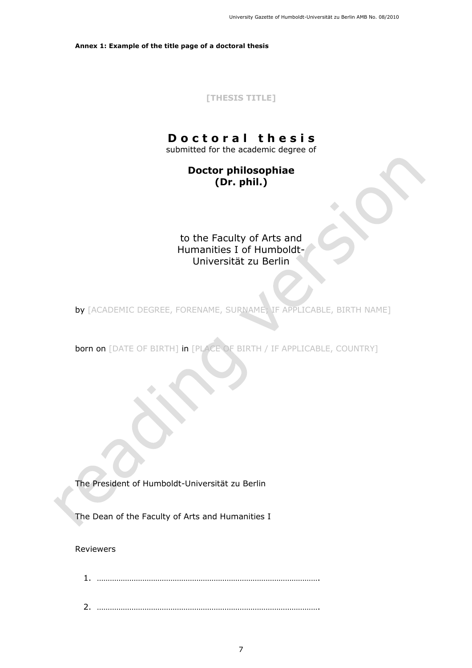University Gazette of Humboldt-Universität zu Berlin AMB No. 08/2010

**Annex 1: Example of the title page of a doctoral thesis**

**[THESIS TITLE]**

## **D o c t o r a l t h e s i s**

submitted for the academic degree of

### **Doctor philosophiae (Dr. phil.)**

to the Faculty of Arts and Humanities I of Humboldt-Universität zu Berlin

by [ACADEMIC DEGREE, FORENAME, SURNAME; IF APPLICABLE, BIRTH NAME]

born on [DATE OF BIRTH] in [PLACE OF BIRTH / IF APPLICABLE, COUNTRY]

The President of Humboldt-Universität zu Berlin

The Dean of the Faculty of Arts and Humanities I

#### Reviewers

1. ………………………………………………………………………………………….

2. ………………………………………………………………………………………….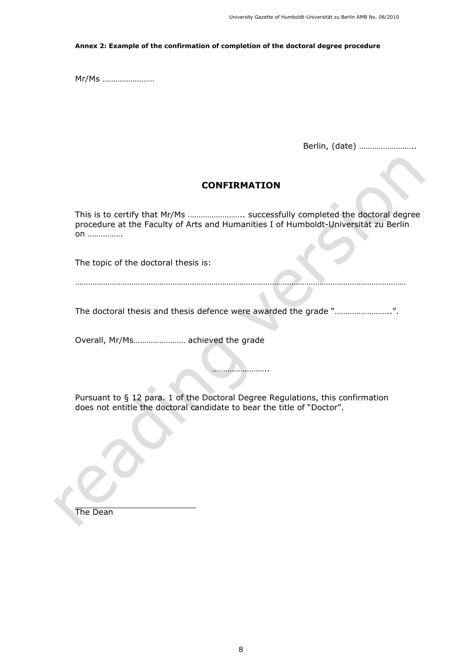#### **Annex 2: Example of the confirmation of completion of the doctoral degree procedure**

Mr/Ms ……………………

Berlin, (date) ……………………..

#### **CONFIRMATION**

This is to certify that Mr/Ms …………………….. successfully completed the doctoral degree procedure at the Faculty of Arts and Humanities I of Humboldt-Universität zu Berlin on …………….

The topic of the doctoral thesis is:

………………………………………………………………………………………………………………………………………

The doctoral thesis and thesis defence were awarded the grade "……………………..".

Overall, Mr/Ms…………………… achieved the grade

Pursuant to § 12 para. 1 of the Doctoral Degree Regulations, this confirmation does not entitle the doctoral candidate to bear the title of "Doctor".

……………………

The Dean